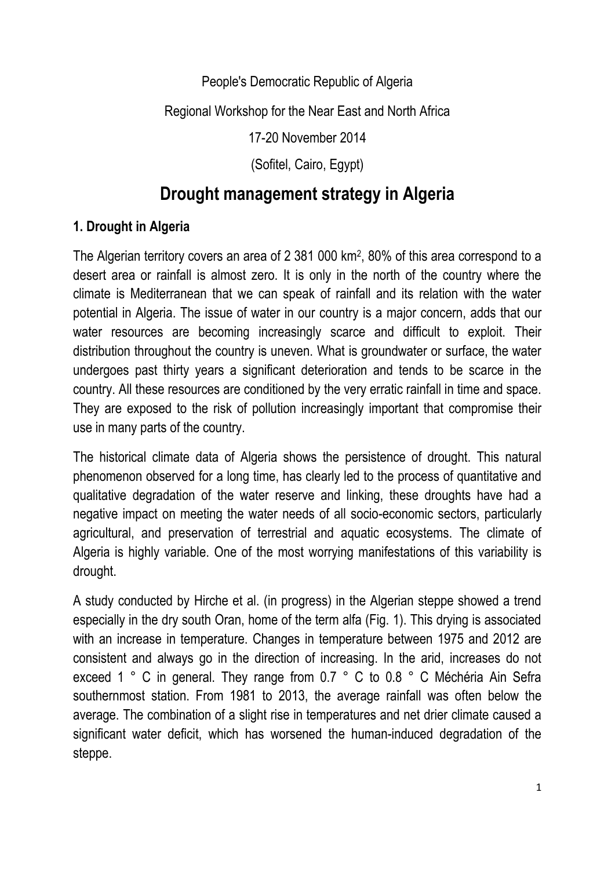### People's Democratic Republic of Algeria

### Regional Workshop for the Near East and North Africa

17-20 November 2014

(Sofitel, Cairo, Egypt)

# **Drought management strategy in Algeria**

### **1. Drought in Algeria**

The Algerian territory covers an area of 2 381 000 km<sup>2</sup> , 80% of this area correspond to a desert area or rainfall is almost zero. It is only in the north of the country where the climate is Mediterranean that we can speak of rainfall and its relation with the water potential in Algeria. The issue of water in our country is a major concern, adds that our water resources are becoming increasingly scarce and difficult to exploit. Their distribution throughout the country is uneven. What is groundwater or surface, the water undergoes past thirty years a significant deterioration and tends to be scarce in the country. All these resources are conditioned by the very erratic rainfall in time and space. They are exposed to the risk of pollution increasingly important that compromise their use in many parts of the country.

The historical climate data of Algeria shows the persistence of drought. This natural phenomenon observed for a long time, has clearly led to the process of quantitative and qualitative degradation of the water reserve and linking, these droughts have had a negative impact on meeting the water needs of all socio-economic sectors, particularly agricultural, and preservation of terrestrial and aquatic ecosystems. The climate of Algeria is highly variable. One of the most worrying manifestations of this variability is drought.

A study conducted by Hirche et al. (in progress) in the Algerian steppe showed a trend especially in the dry south Oran, home of the term alfa (Fig. 1). This drying is associated with an increase in temperature. Changes in temperature between 1975 and 2012 are consistent and always go in the direction of increasing. In the arid, increases do not exceed 1 ° C in general. They range from 0.7 ° C to 0.8 ° C Méchéria Ain Sefra southernmost station. From 1981 to 2013, the average rainfall was often below the average. The combination of a slight rise in temperatures and net drier climate caused a significant water deficit, which has worsened the human-induced degradation of the steppe.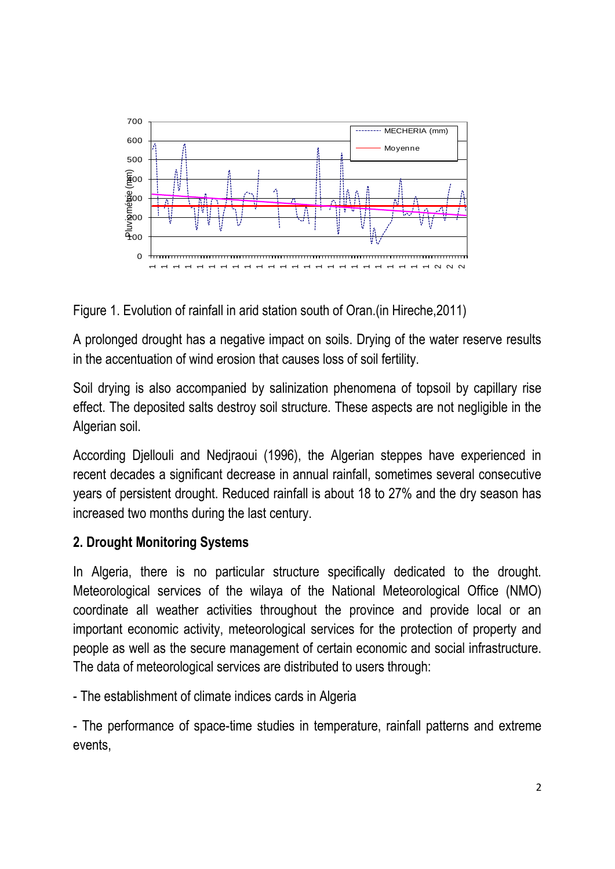

Figure 1. Evolution of rainfall in arid station south of Oran.(in Hireche,2011)

A prolonged drought has a negative impact on soils. Drying of the water reserve results in the accentuation of wind erosion that causes loss of soil fertility.

Soil drying is also accompanied by salinization phenomena of topsoil by capillary rise effect. The deposited salts destroy soil structure. These aspects are not negligible in the Algerian soil.

According Djellouli and Nedjraoui (1996), the Algerian steppes have experienced in recent decades a significant decrease in annual rainfall, sometimes several consecutive years of persistent drought. Reduced rainfall is about 18 to 27% and the dry season has increased two months during the last century.

## **2. Drought Monitoring Systems**

In Algeria, there is no particular structure specifically dedicated to the drought. Meteorological services of the wilaya of the National Meteorological Office (NMO) coordinate all weather activities throughout the province and provide local or an important economic activity, meteorological services for the protection of property and people as well as the secure management of certain economic and social infrastructure. The data of meteorological services are distributed to users through:

- The establishment of climate indices cards in Algeria

- The performance of space-time studies in temperature, rainfall patterns and extreme events,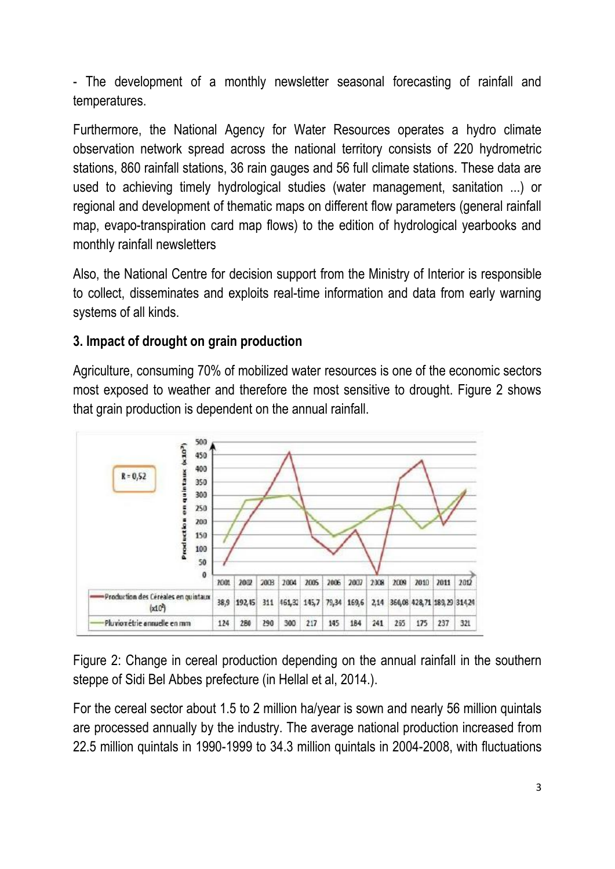- The development of a monthly newsletter seasonal forecasting of rainfall and temperatures.

Furthermore, the National Agency for Water Resources operates a hydro climate observation network spread across the national territory consists of 220 hydrometric stations, 860 rainfall stations, 36 rain gauges and 56 full climate stations. These data are used to achieving timely hydrological studies (water management, sanitation ...) or regional and development of thematic maps on different flow parameters (general rainfall map, evapo-transpiration card map flows) to the edition of hydrological yearbooks and monthly rainfall newsletters

Also, the National Centre for decision support from the Ministry of Interior is responsible to collect, disseminates and exploits real-time information and data from early warning systems of all kinds.

### **3. Impact of drought on grain production**

Agriculture, consuming 70% of mobilized water resources is one of the economic sectors most exposed to weather and therefore the most sensitive to drought. Figure 2 shows that grain production is dependent on the annual rainfall.



Figure 2: Change in cereal production depending on the annual rainfall in the southern steppe of Sidi Bel Abbes prefecture (in Hellal et al, 2014.).

For the cereal sector about 1.5 to 2 million ha/year is sown and nearly 56 million quintals are processed annually by the industry. The average national production increased from 22.5 million quintals in 1990-1999 to 34.3 million quintals in 2004-2008, with fluctuations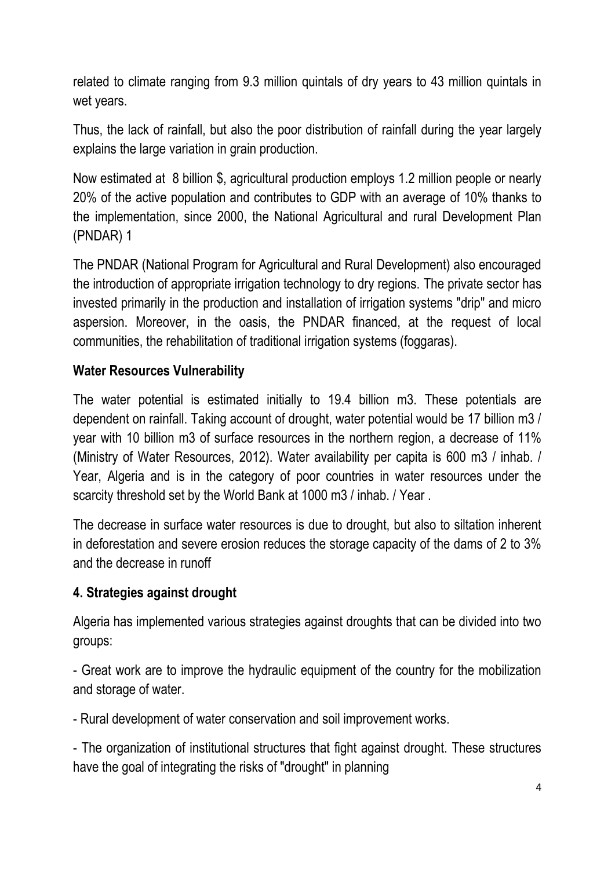related to climate ranging from 9.3 million quintals of dry years to 43 million quintals in wet years.

Thus, the lack of rainfall, but also the poor distribution of rainfall during the year largely explains the large variation in grain production.

Now estimated at 8 billion \$, agricultural production employs 1.2 million people or nearly 20% of the active population and contributes to GDP with an average of 10% thanks to the implementation, since 2000, the National Agricultural and rural Development Plan (PNDAR) 1

The PNDAR (National Program for Agricultural and Rural Development) also encouraged the introduction of appropriate irrigation technology to dry regions. The private sector has invested primarily in the production and installation of irrigation systems "drip" and micro aspersion. Moreover, in the oasis, the PNDAR financed, at the request of local communities, the rehabilitation of traditional irrigation systems (foggaras).

### **Water Resources Vulnerability**

The water potential is estimated initially to 19.4 billion m3. These potentials are dependent on rainfall. Taking account of drought, water potential would be 17 billion m3 / year with 10 billion m3 of surface resources in the northern region, a decrease of 11% (Ministry of Water Resources, 2012). Water availability per capita is 600 m3 / inhab. / Year, Algeria and is in the category of poor countries in water resources under the scarcity threshold set by the World Bank at 1000 m3 / inhab. / Year .

The decrease in surface water resources is due to drought, but also to siltation inherent in deforestation and severe erosion reduces the storage capacity of the dams of 2 to 3% and the decrease in runoff

### **4. Strategies against drought**

Algeria has implemented various strategies against droughts that can be divided into two groups:

- Great work are to improve the hydraulic equipment of the country for the mobilization and storage of water.

- Rural development of water conservation and soil improvement works.

- The organization of institutional structures that fight against drought. These structures have the goal of integrating the risks of "drought" in planning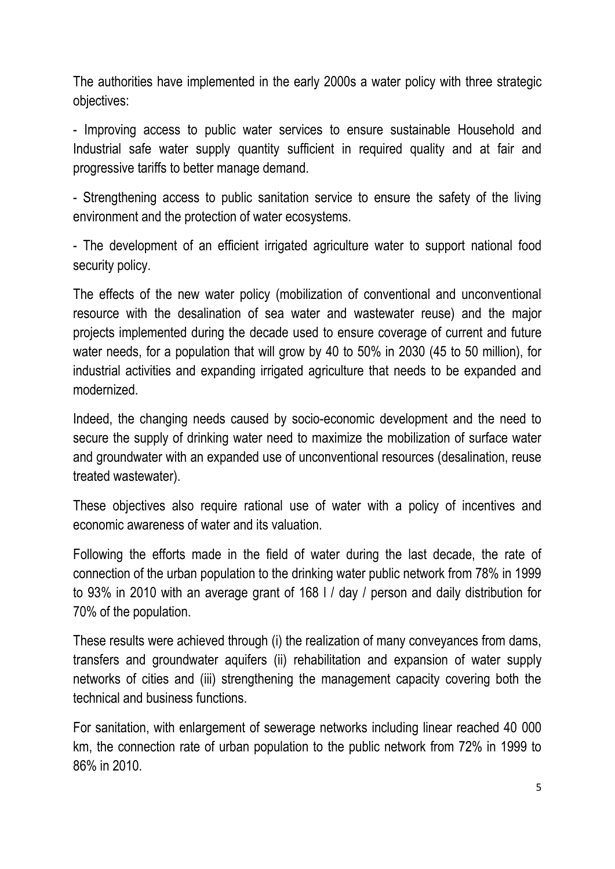The authorities have implemented in the early 2000s a water policy with three strategic objectives:

- Improving access to public water services to ensure sustainable Household and Industrial safe water supply quantity sufficient in required quality and at fair and progressive tariffs to better manage demand.

- Strengthening access to public sanitation service to ensure the safety of the living environment and the protection of water ecosystems.

- The development of an efficient irrigated agriculture water to support national food security policy.

The effects of the new water policy (mobilization of conventional and unconventional resource with the desalination of sea water and wastewater reuse) and the major projects implemented during the decade used to ensure coverage of current and future water needs, for a population that will grow by 40 to 50% in 2030 (45 to 50 million), for industrial activities and expanding irrigated agriculture that needs to be expanded and modernized.

Indeed, the changing needs caused by socio-economic development and the need to secure the supply of drinking water need to maximize the mobilization of surface water and groundwater with an expanded use of unconventional resources (desalination, reuse treated wastewater).

These objectives also require rational use of water with a policy of incentives and economic awareness of water and its valuation.

Following the efforts made in the field of water during the last decade, the rate of connection of the urban population to the drinking water public network from 78% in 1999 to 93% in 2010 with an average grant of 168 l / day / person and daily distribution for 70% of the population.

These results were achieved through (i) the realization of many conveyances from dams, transfers and groundwater aquifers (ii) rehabilitation and expansion of water supply networks of cities and (iii) strengthening the management capacity covering both the technical and business functions.

For sanitation, with enlargement of sewerage networks including linear reached 40 000 km, the connection rate of urban population to the public network from 72% in 1999 to 86% in 2010.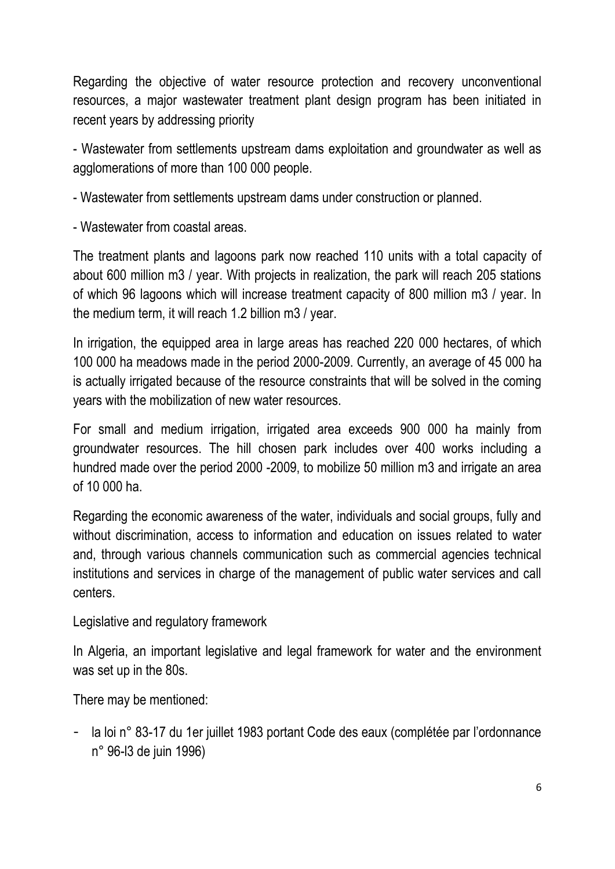Regarding the objective of water resource protection and recovery unconventional resources, a major wastewater treatment plant design program has been initiated in recent years by addressing priority

- Wastewater from settlements upstream dams exploitation and groundwater as well as agglomerations of more than 100 000 people.

- Wastewater from settlements upstream dams under construction or planned.

- Wastewater from coastal areas.

The treatment plants and lagoons park now reached 110 units with a total capacity of about 600 million m3 / year. With projects in realization, the park will reach 205 stations of which 96 lagoons which will increase treatment capacity of 800 million m3 / year. In the medium term, it will reach 1.2 billion m3 / year.

In irrigation, the equipped area in large areas has reached 220 000 hectares, of which 100 000 ha meadows made in the period 2000-2009. Currently, an average of 45 000 ha is actually irrigated because of the resource constraints that will be solved in the coming years with the mobilization of new water resources.

For small and medium irrigation, irrigated area exceeds 900 000 ha mainly from groundwater resources. The hill chosen park includes over 400 works including a hundred made over the period 2000 -2009, to mobilize 50 million m3 and irrigate an area of 10 000 ha.

Regarding the economic awareness of the water, individuals and social groups, fully and without discrimination, access to information and education on issues related to water and, through various channels communication such as commercial agencies technical institutions and services in charge of the management of public water services and call centers.

Legislative and regulatory framework

In Algeria, an important legislative and legal framework for water and the environment was set up in the 80s.

There may be mentioned:

- la loi n° 83-17 du 1er juillet 1983 portant Code des eaux (complétée par l'ordonnance n° 96-l3 de juin 1996)